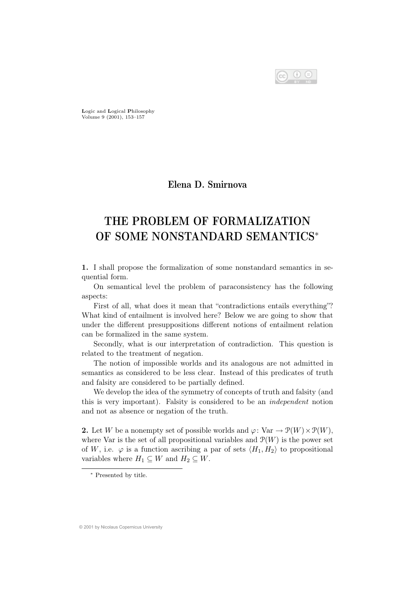

Logic and Logical Philosophy Volume 9 (2001), 153–157

## Elena D. Smirnova

# THE PROBLEM OF FORMALIZATION OF SOME NONSTANDARD SEMANTICS<sup>∗</sup>

1. I shall propose the formalization of some nonstandard semantics in sequential form.

On semantical level the problem of paraconsistency has the following aspects:

First of all, what does it mean that "contradictions entails everything"? What kind of entailment is involved here? Below we are going to show that under the different presuppositions different notions of entailment relation can be formalized in the same system.

Secondly, what is our interpretation of contradiction. This question is related to the treatment of negation.

The notion of impossible worlds and its analogous are not admitted in semantics as considered to be less clear. Instead of this predicates of truth and falsity are considered to be partially defined.

We develop the idea of the symmetry of concepts of truth and falsity (and this is very important). Falsity is considered to be an independent notion and not as absence or negation of the truth.

2. Let W be a nonempty set of possible worlds and  $\varphi: \text{Var} \to \mathcal{P}(W) \times \mathcal{P}(W)$ , where Var is the set of all propositional variables and  $\mathcal{P}(W)$  is the power set of W, i.e.  $\varphi$  is a function ascribing a par of sets  $\langle H_1, H_2 \rangle$  to propositional variables where  $H_1 \subseteq W$  and  $H_2 \subseteq W$ .

© 2001 by Nicolaus Copernicus University

<sup>∗</sup> Presented by title.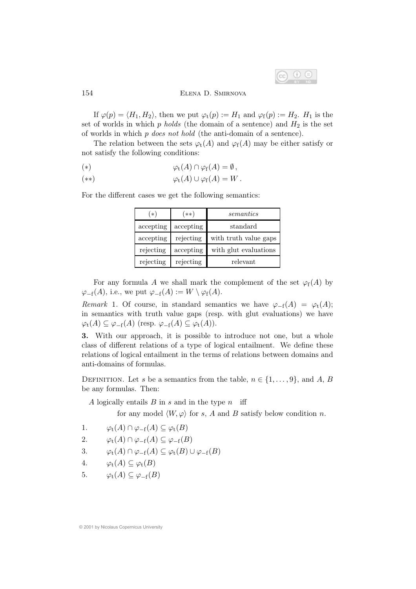$$
\bigodot_{\text{EY}}\bigodot_{\text{HZ}}\bigodot
$$

#### 154 Elena D. Smirnova

If  $\varphi(p) = \langle H_1, H_2 \rangle$ , then we put  $\varphi_t(p) := H_1$  and  $\varphi_f(p) := H_2$ .  $H_1$  is the set of worlds in which  $p$  holds (the domain of a sentence) and  $H_2$  is the set of worlds in which p does not hold (the anti-domain of a sentence).

The relation between the sets  $\varphi_t(A)$  and  $\varphi_f(A)$  may be either satisfy or not satisfy the following conditions:

$$
(*) \qquad \qquad \varphi_{t}(A) \cap \varphi_{f}(A) = \emptyset,
$$

$$
(**) \qquad \varphi_{t}(A) \cup \varphi_{f}(A) = W.
$$

For the different cases we get the following semantics:

| (*)       | $(**)$    | semantics             |
|-----------|-----------|-----------------------|
| accepting | accepting | standard              |
| accepting | rejecting | with truth value gaps |
| rejecting | accepting | with glut evaluations |
| rejecting | rejecting | relevant              |

For any formula A we shall mark the complement of the set  $\varphi_f(A)$  by  $\varphi_{-f}(A)$ , i.e., we put  $\varphi_{-f}(A) := W \setminus \varphi_{f}(A)$ .

Remark 1. Of course, in standard semantics we have  $\varphi_{-f}(A) = \varphi_{t}(A);$ in semantics with truth value gaps (resp. with glut evaluations) we have  $\varphi_{t}(A) \subseteq \varphi_{-f}(A)$  (resp.  $\varphi_{-f}(A) \subseteq \varphi_{t}(A)$ ).

3. With our approach, it is possible to introduce not one, but a whole class of different relations of a type of logical entailment. We define these relations of logical entailment in the terms of relations between domains and anti-domains of formulas.

DEFINITION. Let s be a semantics from the table,  $n \in \{1, \ldots, 9\}$ , and A, B be any formulas. Then:

A logically entails  $B$  in  $s$  and in the type  $n$  iff

for any model  $\langle W, \varphi \rangle$  for s, A and B satisfy below condition n.

1. 
$$
\varphi_{t}(A) \cap \varphi_{-f}(A) \subseteq \varphi_{t}(B)
$$

2. 
$$
\varphi_{t}(A) \cap \varphi_{-f}(A) \subseteq \varphi_{-f}(B)
$$

3.  $\varphi_{t}(A) \cap \varphi_{-f}(A) \subseteq \varphi_{t}(B) \cup \varphi_{-f}(B)$ 

4. 
$$
\varphi_{t}(A) \subseteq \varphi_{t}(B)
$$

5.  $\varphi_{t}(A) \subset \varphi_{-f}(B)$ 

© 2001 by Nicolaus Copernicus University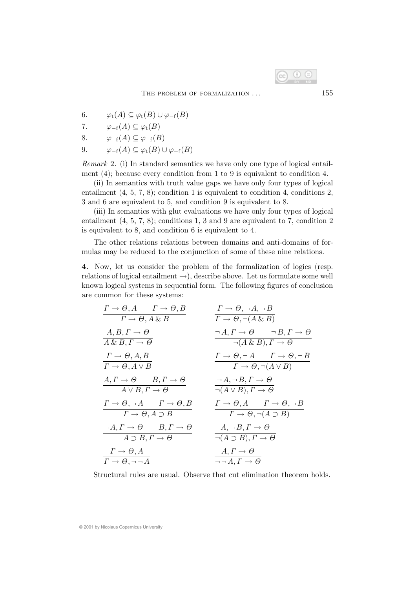

6. 
$$
\varphi_{t}(A) \subseteq \varphi_{t}(B) \cup \varphi_{-f}(B)
$$

7. 
$$
\varphi_{-f}(A) \subseteq \varphi_{t}(B)
$$

- 8.  $\varphi_{-f}(A) \subseteq \varphi_{-f}(B)$
- 9.  $\varphi_{-f}(A) \subseteq \varphi_{t}(B) \cup \varphi_{-f}(B)$

Remark 2. (i) In standard semantics we have only one type of logical entailment (4); because every condition from 1 to 9 is equivalent to condition 4.

(ii) In semantics with truth value gaps we have only four types of logical entailment (4, 5, 7, 8); condition 1 is equivalent to condition 4, conditions 2, 3 and 6 are equivalent to 5, and condition 9 is equivalent to 8.

(iii) In semantics with glut evaluations we have only four types of logical entailment (4, 5, 7, 8); conditions 1, 3 and 9 are equivalent to 7, condition 2 is equivalent to 8, and condition 6 is equivalent to 4.

The other relations relations between domains and anti-domains of formulas may be reduced to the conjunction of some of these nine relations.

4. Now, let us consider the problem of the formalization of logics (resp. relations of logical entailment  $\rightarrow$ ), describe above. Let us formulate some well known logical systems in sequential form. The following figures of conclusion are common for these systems:

$$
\frac{\Gamma \to \Theta, A \qquad \Gamma \to \Theta, B}{\Gamma \to \Theta, A \& B} \qquad \frac{\Gamma \to \Theta, \neg A, \neg B}{\Gamma \to \Theta, \neg (A \& B)}
$$
\n
$$
\frac{A, B, \Gamma \to \Theta}{A \& B, \Gamma \to \Theta} \qquad \frac{\neg A, \Gamma \to \Theta \qquad \neg B, \Gamma \to \Theta}{\neg (A \& B), \Gamma \to \Theta}
$$
\n
$$
\frac{\Gamma \to \Theta, A, B}{\Gamma \to \Theta, A \lor B} \qquad \frac{\Gamma \to \Theta, \neg A \qquad \Gamma \to \Theta, \neg B}{\Gamma \to \Theta, \neg (A \lor B)}
$$
\n
$$
\frac{A, \Gamma \to \Theta \qquad B, \Gamma \to \Theta}{A \lor B, \Gamma \to \Theta} \qquad \frac{\neg A, \neg B, \Gamma \to \Theta}{\neg (A \lor B), \Gamma \to \Theta}
$$
\n
$$
\frac{\Gamma \to \Theta, \neg A \qquad \Gamma \to \Theta, B}{\Gamma \to \Theta, A \supset B, \Gamma \to \Theta} \qquad \frac{\Gamma \to \Theta, A \qquad \Gamma \to \Theta, \neg B}{\Gamma \to \Theta, \neg (A \supset B)}
$$
\n
$$
\frac{\neg A, \Gamma \to \Theta \qquad B, \Gamma \to \Theta}{A \supset B, \Gamma \to \Theta} \qquad \frac{A, \neg B, \Gamma \to \Theta}{\neg (A \supset B), \Gamma \to \Theta}
$$
\n
$$
\frac{\Gamma \to \Theta, A \qquad \frac{A, \Gamma \to \Theta}{\Gamma \to \Theta, \neg A, \Gamma \to \Theta}} \qquad \frac{A, \Gamma \to \Theta}{\neg A, \Gamma \to \Theta}
$$

Structural rules are usual. Observe that cut elimination theorem holds.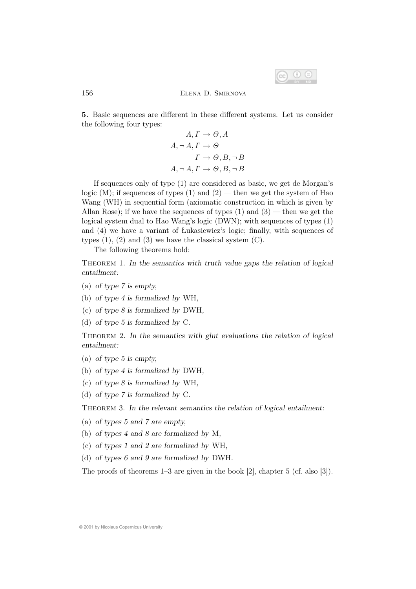#### 156 Elena D. Smirnova

5. Basic sequences are different in these different systems. Let us consider the following four types:

$$
A, \Gamma \to \Theta, A
$$

$$
A, \neg A, \Gamma \to \Theta
$$

$$
\Gamma \to \Theta, B, \neg B
$$

$$
A, \neg A, \Gamma \to \Theta, B, \neg B
$$

If sequences only of type (1) are considered as basic, we get de Morgan's logic  $(M)$ ; if sequences of types  $(1)$  and  $(2)$  — then we get the system of Hao Wang (WH) in sequential form (axiomatic construction in which is given by Allan Rose); if we have the sequences of types  $(1)$  and  $(3)$  — then we get the logical system dual to Hao Wang's logic (DWN); with sequences of types (1) and (4) we have a variant of Łukasiewicz's logic; finally, with sequences of types  $(1)$ ,  $(2)$  and  $(3)$  we have the classical system  $(C)$ .

The following theorems hold:

THEOREM 1. In the semantics with truth value gaps the relation of logical entailment:

- (a) of type 7 is empty,
- (b) of type 4 is formalized by WH,
- (c) of type 8 is formalized by DWH,
- (d) of type 5 is formalized by C.

Theorem 2. In the semantics with glut evaluations the relation of logical entailment:

- (a) of type 5 is empty,
- (b) of type 4 is formalized by DWH,
- (c) of type 8 is formalized by WH,
- (d) of type 7 is formalized by C.

THEOREM 3. In the relevant semantics the relation of logical entailment:

- (a) of types 5 and 7 are empty,
- (b) of types 4 and 8 are formalized by M,
- (c) of types 1 and 2 are formalized by WH,
- (d) of types 6 and 9 are formalized by DWH.

The proofs of theorems 1–3 are given in the book [2], chapter 5 (cf. also [3]).